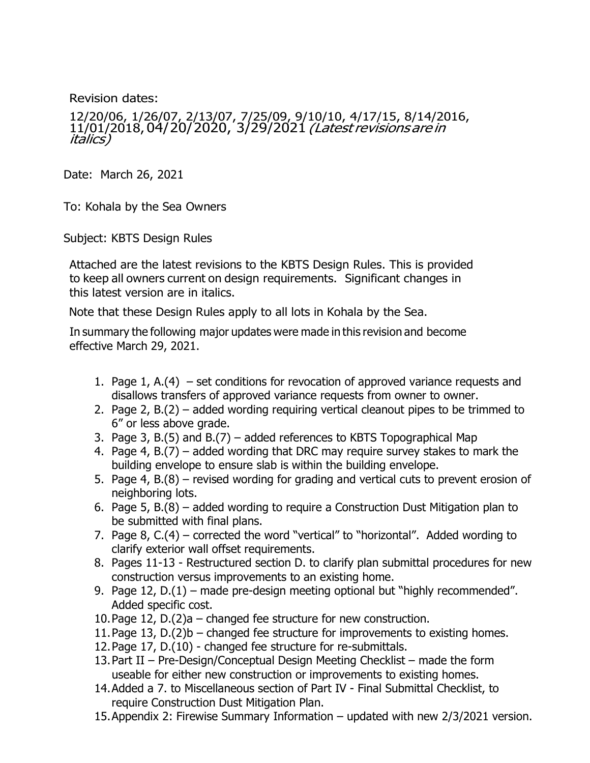Revision dates:

#### 12/20/06, 1/26/07, 2/13/07, 7/25/09, 9/10/10, 4/17/15, 8/14/2016, 11/01/2018, 04/20/2020, 3/29/2021 (Latestrevisionsare in italics)

Date: March 26, 2021

To: Kohala by the Sea Owners

Subject: KBTS Design Rules

Attached are the latest revisions to the KBTS Design Rules. This is provided to keep all owners current on design requirements. Significant changes in this latest version are in italics.

Note that these Design Rules apply to all lots in Kohala by the Sea.

In summary the following major updates were made in this revision and become effective March 29, 2021.

- 1. Page 1,  $A.(4)$  set conditions for revocation of approved variance requests and disallows transfers of approved variance requests from owner to owner.
- 2. Page 2, B.(2) added wording requiring vertical cleanout pipes to be trimmed to 6" or less above grade.
- 3. Page 3, B.(5) and B.(7) added references to KBTS Topographical Map
- 4. Page 4, B.(7) added wording that DRC may require survey stakes to mark the building envelope to ensure slab is within the building envelope.
- 5. Page 4, B.(8) revised wording for grading and vertical cuts to prevent erosion of neighboring lots.
- 6. Page 5, B.(8) added wording to require a Construction Dust Mitigation plan to be submitted with final plans.
- 7. Page 8, C.(4) corrected the word "vertical" to "horizontal". Added wording to clarify exterior wall offset requirements.
- 8. Pages 11-13 Restructured section D. to clarify plan submittal procedures for new construction versus improvements to an existing home.
- 9. Page 12, D.(1) made pre-design meeting optional but "highly recommended". Added specific cost.
- 10.Page 12, D.(2)a changed fee structure for new construction.
- 11.Page 13, D.(2)b changed fee structure for improvements to existing homes.
- 12.Page 17, D.(10) changed fee structure for re-submittals.
- 13.Part II Pre-Design/Conceptual Design Meeting Checklist made the form useable for either new construction or improvements to existing homes.
- 14.Added a 7. to Miscellaneous section of Part IV Final Submittal Checklist, to require Construction Dust Mitigation Plan.
- 15.Appendix 2: Firewise Summary Information updated with new 2/3/2021 version.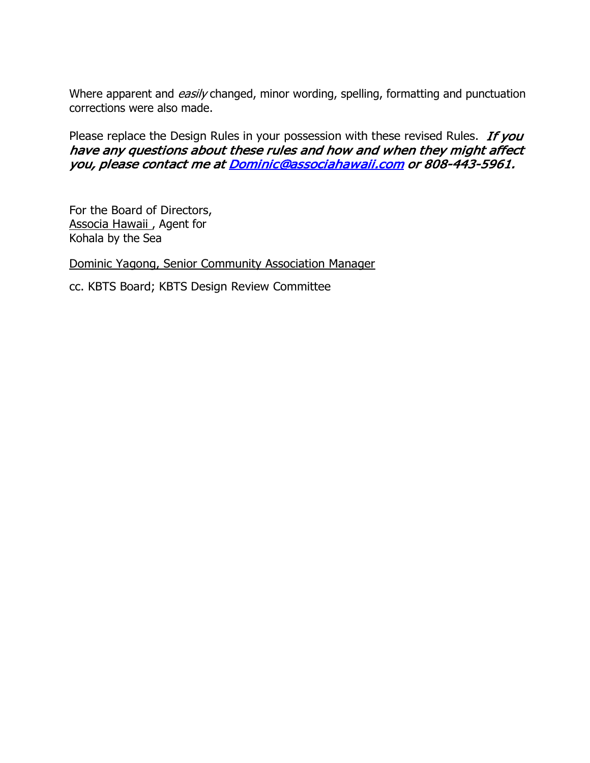Where apparent and easily changed, minor wording, spelling, formatting and punctuation corrections were also made.

Please replace the Design Rules in your possession with these revised Rules. If you have any questions about these rules and how and when they might affect you, please contact me a[t Dominic@associahawaii.com](mailto:Dominic@associahawaii.com) or 808-443-5961.

For the Board of Directors, Associa Hawaii , Agent for Kohala by the Sea

Dominic Yagong, Senior Community Association Manager

cc. KBTS Board; KBTS Design Review Committee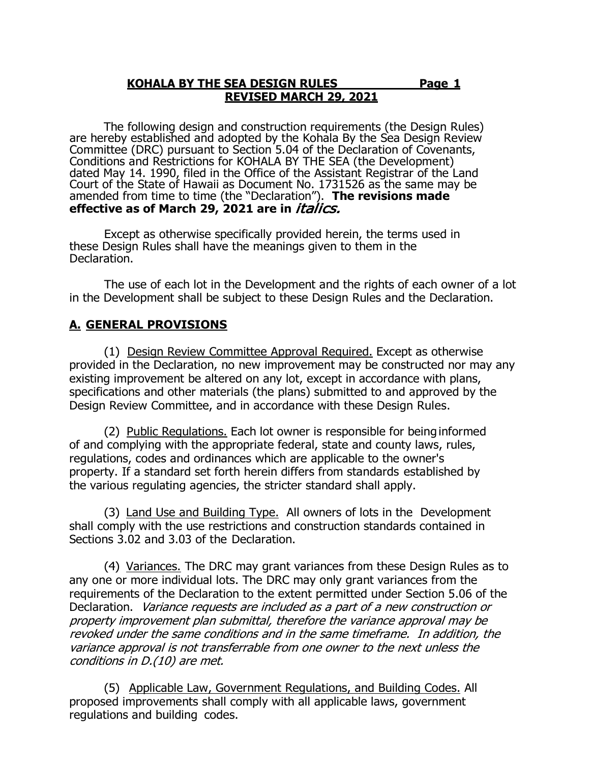### **KOHALA BY THE SEA DESIGN RULES Page 1 REVISED MARCH 29, 2021**

 The following design and construction requirements (the Design Rules) are hereby established and adopted by the Kohala By the Sea Design Review Committee (DRC) pursuant to Section 5.04 of the Declaration of Covenants, Conditions and Restrictions for KOHALA BY THE SEA (the Development) dated May 14. 1990, filed in the Office of the Assistant Registrar of the Land Court of the State of Hawaii as Document No. 1731526 as the same may be amended from time to time (the "Declaration"). **The revisions made effective as of March 29, 2021 are in** italics.

Except as otherwise specifically provided herein, the terms used in these Design Rules shall have the meanings given to them in the Declaration.

The use of each lot in the Development and the rights of each owner of a lot in the Development shall be subject to these Design Rules and the Declaration.

## **A. GENERAL PROVISIONS**

(1) Design Review Committee Approval Required. Except as otherwise provided in the Declaration, no new improvement may be constructed nor may any existing improvement be altered on any lot, except in accordance with plans, specifications and other materials (the plans) submitted to and approved by the Design Review Committee, and in accordance with these Design Rules.

(2) Public Regulations. Each lot owner is responsible for being informed of and complying with the appropriate federal, state and county laws, rules, regulations, codes and ordinances which are applicable to the owner's property. If a standard set forth herein differs from standards established by the various regulating agencies, the stricter standard shall apply.

(3) Land Use and Building Type. All owners of lots in the Development shall comply with the use restrictions and construction standards contained in Sections 3.02 and 3.03 of the Declaration.

(4) Variances. The DRC may grant variances from these Design Rules as to any one or more individual lots. The DRC may only grant variances from the requirements of the Declaration to the extent permitted under Section 5.06 of the Declaration. Variance requests are included as a part of a new construction or property improvement plan submittal, therefore the variance approval may be revoked under the same conditions and in the same timeframe. In addition, the variance approval is not transferrable from one owner to the next unless the conditions in D.(10) are met.

(5) Applicable Law, Government Regulations, and Building Codes. All proposed improvements shall comply with all applicable laws, government regulations and building codes.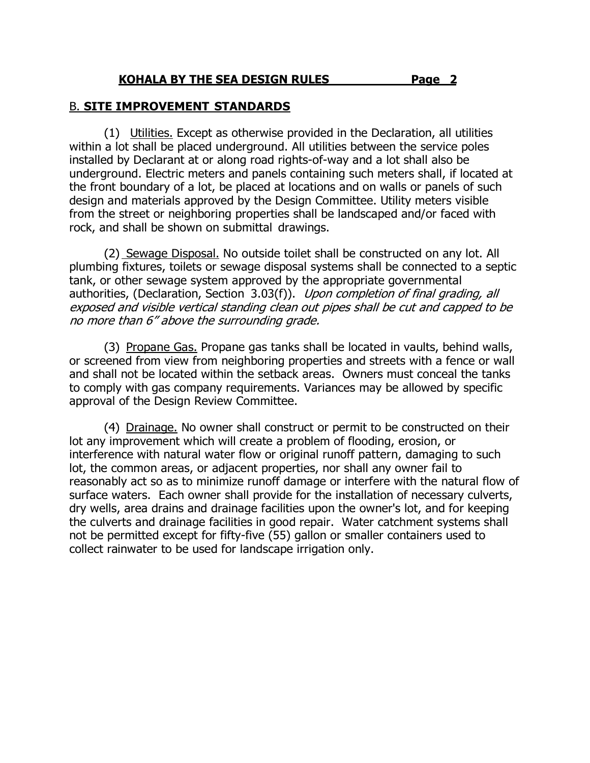#### B. **SITE IMPROVEMENT STANDARDS**

(1) Utilities. Except as otherwise provided in the Declaration, all utilities within a lot shall be placed underground. All utilities between the service poles installed by Declarant at or along road rights-of-way and a lot shall also be underground. Electric meters and panels containing such meters shall, if located at the front boundary of a lot, be placed at locations and on walls or panels of such design and materials approved by the Design Committee. Utility meters visible from the street or neighboring properties shall be landscaped and/or faced with rock, and shall be shown on submittal drawings.

(2) Sewage Disposal. No outside toilet shall be constructed on any lot. All plumbing fixtures, toilets or sewage disposal systems shall be connected to a septic tank, or other sewage system approved by the appropriate governmental authorities, (Declaration, Section 3.03(f)). Upon completion of final grading, all exposed and visible vertical standing clean out pipes shall be cut and capped to be no more than 6" above the surrounding grade.

(3) Propane Gas. Propane gas tanks shall be located in vaults, behind walls, or screened from view from neighboring properties and streets with a fence or wall and shall not be located within the setback areas. Owners must conceal the tanks to comply with gas company requirements. Variances may be allowed by specific approval of the Design Review Committee.

(4) Drainage. No owner shall construct or permit to be constructed on their lot any improvement which will create a problem of flooding, erosion, or interference with natural water flow or original runoff pattern, damaging to such lot, the common areas, or adjacent properties, nor shall any owner fail to reasonably act so as to minimize runoff damage or interfere with the natural flow of surface waters. Each owner shall provide for the installation of necessary culverts, dry wells, area drains and drainage facilities upon the owner's lot, and for keeping the culverts and drainage facilities in good repair. Water catchment systems shall not be permitted except for fifty-five (55) gallon or smaller containers used to collect rainwater to be used for landscape irrigation only.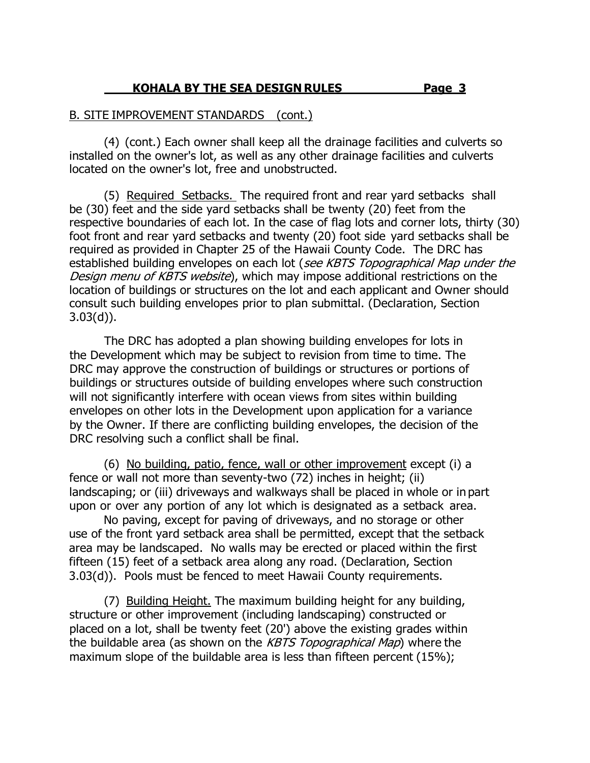#### B. SITE IMPROVEMENT STANDARDS (cont.)

(4) (cont.) Each owner shall keep all the drainage facilities and culverts so installed on the owner's lot, as well as any other drainage facilities and culverts located on the owner's lot, free and unobstructed.

(5) Required Setbacks. The required front and rear yard setbacks shall be (30) feet and the side yard setbacks shall be twenty (20) feet from the respective boundaries of each lot. In the case of flag lots and corner lots, thirty (30) foot front and rear yard setbacks and twenty (20) foot side yard setbacks shall be required as provided in Chapter 25 of the Hawaii County Code. The DRC has established building envelopes on each lot (see KBTS Topographical Map under the Design menu of KBTS website), which may impose additional restrictions on the location of buildings or structures on the lot and each applicant and Owner should consult such building envelopes prior to plan submittal. (Declaration, Section 3.03(d)).

The DRC has adopted a plan showing building envelopes for lots in the Development which may be subject to revision from time to time. The DRC may approve the construction of buildings or structures or portions of buildings or structures outside of building envelopes where such construction will not significantly interfere with ocean views from sites within building envelopes on other lots in the Development upon application for a variance by the Owner. If there are conflicting building envelopes, the decision of the DRC resolving such a conflict shall be final.

(6) No building, patio, fence, wall or other improvement except (i) a fence or wall not more than seventy-two (72) inches in height; (ii) landscaping; or (iii) driveways and walkways shall be placed in whole or in part upon or over any portion of any lot which is designated as a setback area.

No paving, except for paving of driveways, and no storage or other use of the front yard setback area shall be permitted, except that the setback area may be landscaped. No walls may be erected or placed within the first fifteen (15) feet of a setback area along any road. (Declaration, Section 3.03(d)). Pools must be fenced to meet Hawaii County requirements.

(7) Building Height. The maximum building height for any building, structure or other improvement (including landscaping) constructed or placed on a lot, shall be twenty feet (20') above the existing grades within the buildable area (as shown on the KBTS Topographical Map) where the maximum slope of the buildable area is less than fifteen percent (15%);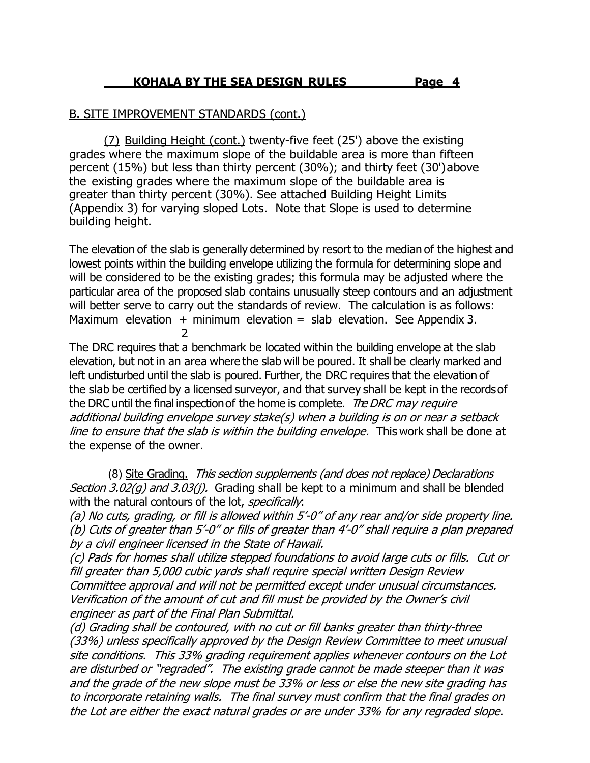#### B. SITE IMPROVEMENT STANDARDS (cont.)

(7) Building Height (cont.) twenty-five feet (25') above the existing grades where the maximum slope of the buildable area is more than fifteen percent (15%) but less than thirty percent (30%); and thirty feet (30')above the existing grades where the maximum slope of the buildable area is greater than thirty percent (30%). See attached Building Height Limits (Appendix 3) for varying sloped Lots. Note that Slope is used to determine building height.

The elevation of the slab is generally determined by resort to the median of the highest and lowest points within the building envelope utilizing the formula for determining slope and will be considered to be the existing grades; this formula may be adjusted where the particular area of the proposed slab contains unusually steep contours and an adjustment will better serve to carry out the standards of review. The calculation is as follows: Maximum elevation + minimum elevation = slab elevation. See Appendix 3.  $\mathcal{P}$ 

The DRC requires that a benchmark be located within the building envelope at the slab elevation, but not in an area where the slab will be poured. It shall be clearly marked and left undisturbed until the slab is poured. Further, the DRC requires that the elevation of the slab be certified by a licensed surveyor, and that survey shall be kept in the recordsof the DRC until the final inspection of the home is complete. The DRC may require additional building envelope survey stake(s) when a building is on or near a setback line to ensure that the slab is within the building envelope. This work shall be done at the expense of the owner.

 (8) Site Grading. This section supplements (and does not replace) Declarations Section 3.02(q) and 3.03(j). Grading shall be kept to a minimum and shall be blended with the natural contours of the lot, *specifically*.

(a) No cuts, grading, or fill is allowed within 5'-0" of any rear and/or side property line. (b) Cuts of greater than 5'-0" or fills of greater than 4'-0" shall require a plan prepared by a civil engineer licensed in the State of Hawaii.

(c) Pads for homes shall utilize stepped foundations to avoid large cuts or fills. Cut or fill greater than 5,000 cubic yards shall require special written Design Review Committee approval and will not be permitted except under unusual circumstances. Verification of the amount of cut and fill must be provided by the Owner's civil engineer as part of the Final Plan Submittal.

(d) Grading shall be contoured, with no cut or fill banks greater than thirty-three (33%) unless specifically approved by the Design Review Committee to meet unusual site conditions. This 33% grading requirement applies whenever contours on the Lot are disturbed or "regraded". The existing grade cannot be made steeper than it was and the grade of the new slope must be 33% or less or else the new site grading has to incorporate retaining walls. The final survey must confirm that the final grades on the Lot are either the exact natural grades or are under 33% for any regraded slope.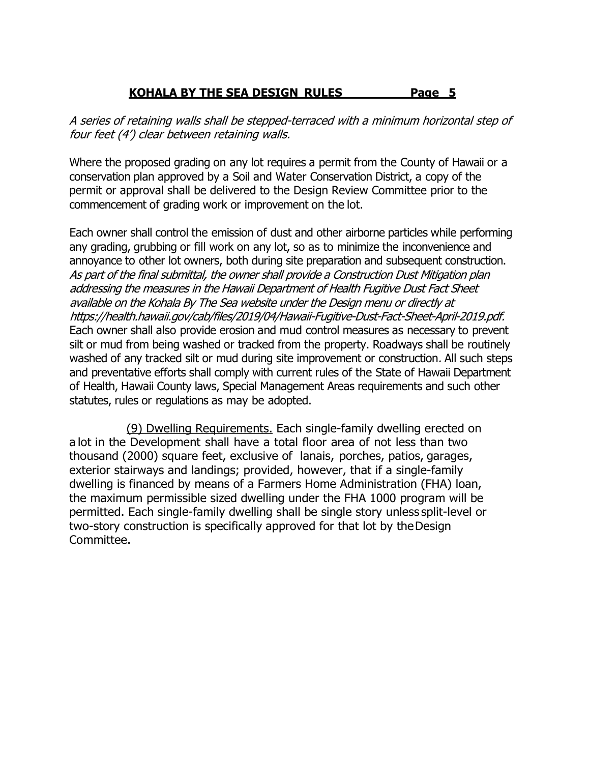A series of retaining walls shall be stepped-terraced with a minimum horizontal step of four feet (4') clear between retaining walls.

Where the proposed grading on any lot requires a permit from the County of Hawaii or a conservation plan approved by a Soil and Water Conservation District, a copy of the permit or approval shall be delivered to the Design Review Committee prior to the commencement of grading work or improvement on the lot.

Each owner shall control the emission of dust and other airborne particles while performing any grading, grubbing or fill work on any lot, so as to minimize the inconvenience and annoyance to other lot owners, both during site preparation and subsequent construction. As part of the final submittal, the owner shall provide a Construction Dust Mitigation plan addressing the measures in the Hawaii Department of Health Fugitive Dust Fact Sheet available on the Kohala By The Sea website under the Design menu or directly at https://health.hawaii.gov/cab/files/2019/04/Hawaii-Fugitive-Dust-Fact-Sheet-April-2019.pdf. Each owner shall also provide erosion and mud control measures as necessary to prevent silt or mud from being washed or tracked from the property. Roadways shall be routinely washed of any tracked silt or mud during site improvement or construction. All such steps and preventative efforts shall comply with current rules of the State of Hawaii Department of Health, Hawaii County laws, Special Management Areas requirements and such other statutes, rules or regulations as may be adopted.

(9) Dwelling Requirements. Each single-family dwelling erected on a lot in the Development shall have a total floor area of not less than two thousand (2000) square feet, exclusive of lanais, porches, patios, garages, exterior stairways and landings; provided, however, that if a single-family dwelling is financed by means of a Farmers Home Administration (FHA) loan, the maximum permissible sized dwelling under the FHA 1000 program will be permitted. Each single-family dwelling shall be single story unless split-level or two-story construction is specifically approved for that lot by theDesign Committee.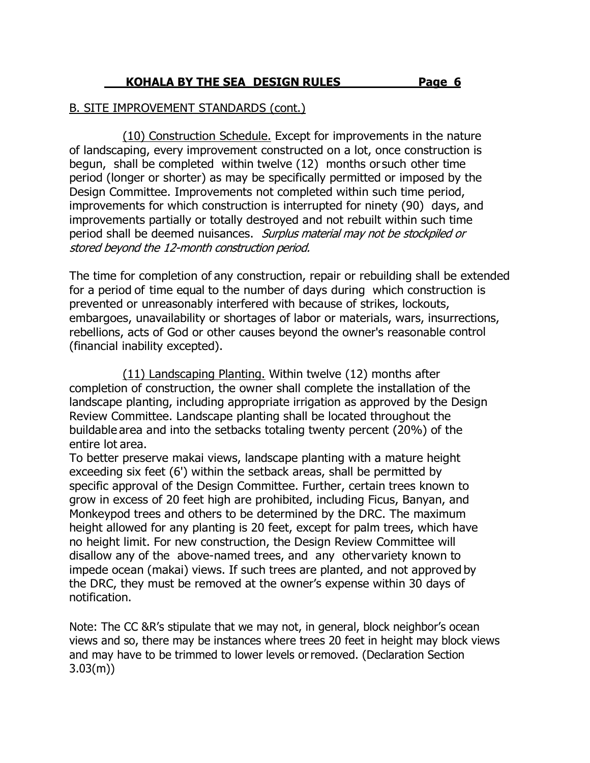## B. SITE IMPROVEMENT STANDARDS (cont.)

 (10) Construction Schedule. Except for improvements in the nature of landscaping, every improvement constructed on a lot, once construction is begun, shall be completed within twelve (12) months or such other time period (longer or shorter) as may be specifically permitted or imposed by the Design Committee. Improvements not completed within such time period, improvements for which construction is interrupted for ninety (90) days, and improvements partially or totally destroyed and not rebuilt within such time period shall be deemed nuisances. Surplus material may not be stockpiled or stored beyond the 12-month construction period.

The time for completion of any construction, repair or rebuilding shall be extended for a period of time equal to the number of days during which construction is prevented or unreasonably interfered with because of strikes, lockouts, embargoes, unavailability or shortages of labor or materials, wars, insurrections, rebellions, acts of God or other causes beyond the owner's reasonable control (financial inability excepted).

 (11) Landscaping Planting. Within twelve (12) months after completion of construction, the owner shall complete the installation of the landscape planting, including appropriate irrigation as approved by the Design Review Committee. Landscape planting shall be located throughout the buildable area and into the setbacks totaling twenty percent (20%) of the entire lot area.

To better preserve makai views, landscape planting with a mature height exceeding six feet (6') within the setback areas, shall be permitted by specific approval of the Design Committee. Further, certain trees known to grow in excess of 20 feet high are prohibited, including Ficus, Banyan, and Monkeypod trees and others to be determined by the DRC. The maximum height allowed for any planting is 20 feet, except for palm trees, which have no height limit. For new construction, the Design Review Committee will disallow any of the above-named trees, and any othervariety known to impede ocean (makai) views. If such trees are planted, and not approved by the DRC, they must be removed at the owner's expense within 30 days of notification.

Note: The CC &R's stipulate that we may not, in general, block neighbor's ocean views and so, there may be instances where trees 20 feet in height may block views and may have to be trimmed to lower levels orremoved. (Declaration Section 3.03(m))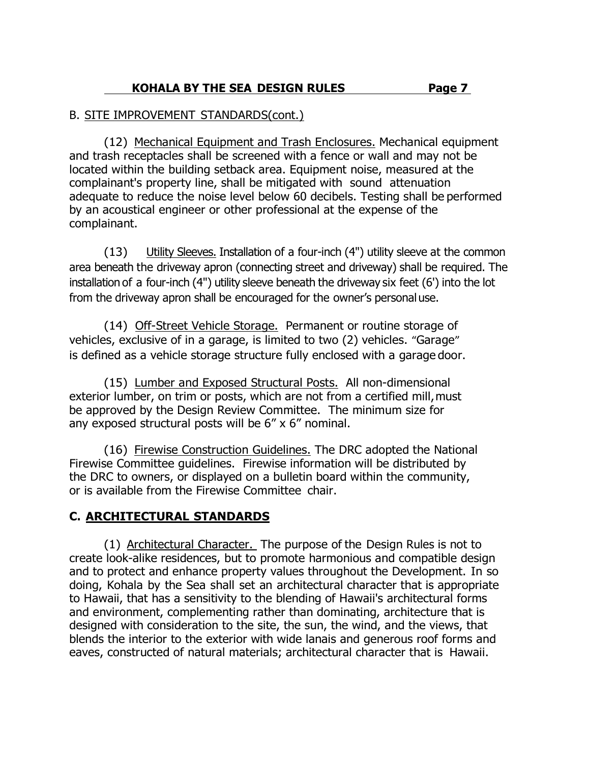### B. SITE IMPROVEMENT STANDARDS(cont.)

(12) Mechanical Equipment and Trash Enclosures. Mechanical equipment and trash receptacles shall be screened with a fence or wall and may not be located within the building setback area. Equipment noise, measured at the complainant's property line, shall be mitigated with sound attenuation adequate to reduce the noise level below 60 decibels. Testing shall be performed by an acoustical engineer or other professional at the expense of the complainant.

(13) Utility Sleeves. Installation of a four-inch (4") utility sleeve at the common area beneath the driveway apron (connecting street and driveway) shall be required. The installation of a four-inch (4") utility sleeve beneath the driveway six feet (6') into the lot from the driveway apron shall be encouraged for the owner's personaluse.

(14) Off-Street Vehicle Storage. Permanent or routine storage of vehicles, exclusive of in a garage, is limited to two (2) vehicles. "Garage" is defined as a vehicle storage structure fully enclosed with a garage door.

(15) Lumber and Exposed Structural Posts. All non-dimensional exterior lumber, on trim or posts, which are not from a certified mill, must be approved by the Design Review Committee. The minimum size for any exposed structural posts will be 6" x 6" nominal.

(16) Firewise Construction Guidelines. The DRC adopted the National Firewise Committee guidelines. Firewise information will be distributed by the DRC to owners, or displayed on a bulletin board within the community, or is available from the Firewise Committee chair.

## **C. ARCHITECTURAL STANDARDS**

(1) Architectural Character. The purpose of the Design Rules is not to create look-alike residences, but to promote harmonious and compatible design and to protect and enhance property values throughout the Development. In so doing, Kohala by the Sea shall set an architectural character that is appropriate to Hawaii, that has a sensitivity to the blending of Hawaii's architectural forms and environment, complementing rather than dominating, architecture that is designed with consideration to the site, the sun, the wind, and the views, that blends the interior to the exterior with wide lanais and generous roof forms and eaves, constructed of natural materials; architectural character that is Hawaii.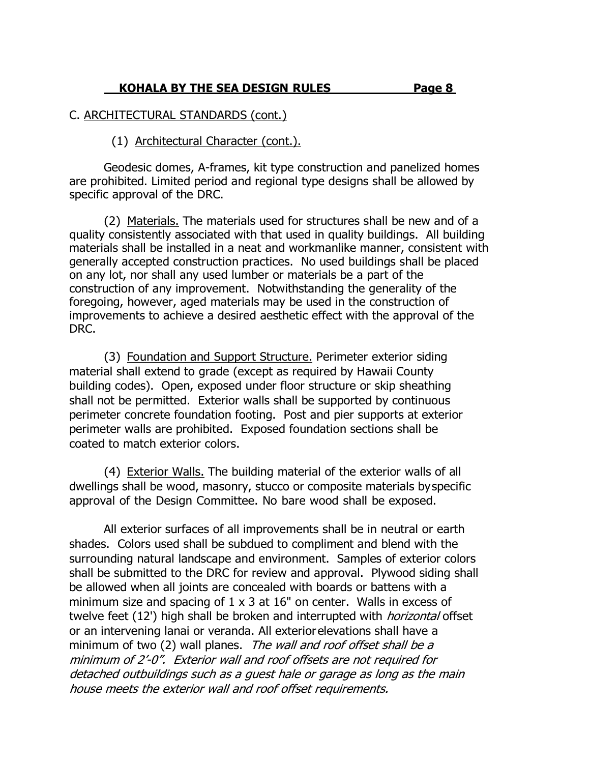#### C. ARCHITECTURAL STANDARDS (cont.)

(1) Architectural Character (cont.).

Geodesic domes, A-frames, kit type construction and panelized homes are prohibited. Limited period and regional type designs shall be allowed by specific approval of the DRC.

(2) Materials. The materials used for structures shall be new and of a quality consistently associated with that used in quality buildings. All building materials shall be installed in a neat and workmanlike manner, consistent with generally accepted construction practices. No used buildings shall be placed on any lot, nor shall any used lumber or materials be a part of the construction of any improvement. Notwithstanding the generality of the foregoing, however, aged materials may be used in the construction of improvements to achieve a desired aesthetic effect with the approval of the DRC.

(3) Foundation and Support Structure. Perimeter exterior siding material shall extend to grade (except as required by Hawaii County building codes). Open, exposed under floor structure or skip sheathing shall not be permitted. Exterior walls shall be supported by continuous perimeter concrete foundation footing. Post and pier supports at exterior perimeter walls are prohibited. Exposed foundation sections shall be coated to match exterior colors.

(4) Exterior Walls. The building material of the exterior walls of all dwellings shall be wood, masonry, stucco or composite materials byspecific approval of the Design Committee. No bare wood shall be exposed.

All exterior surfaces of all improvements shall be in neutral or earth shades. Colors used shall be subdued to compliment and blend with the surrounding natural landscape and environment. Samples of exterior colors shall be submitted to the DRC for review and approval. Plywood siding shall be allowed when all joints are concealed with boards or battens with a minimum size and spacing of  $1 \times 3$  at  $16$ " on center. Walls in excess of twelve feet (12') high shall be broken and interrupted with *horizontal* offset or an intervening lanai or veranda. All exteriorelevations shall have a minimum of two (2) wall planes. The wall and roof offset shall be a minimum of 2'-0". Exterior wall and roof offsets are not required for detached outbuildings such as a guest hale or garage as long as the main house meets the exterior wall and roof offset requirements.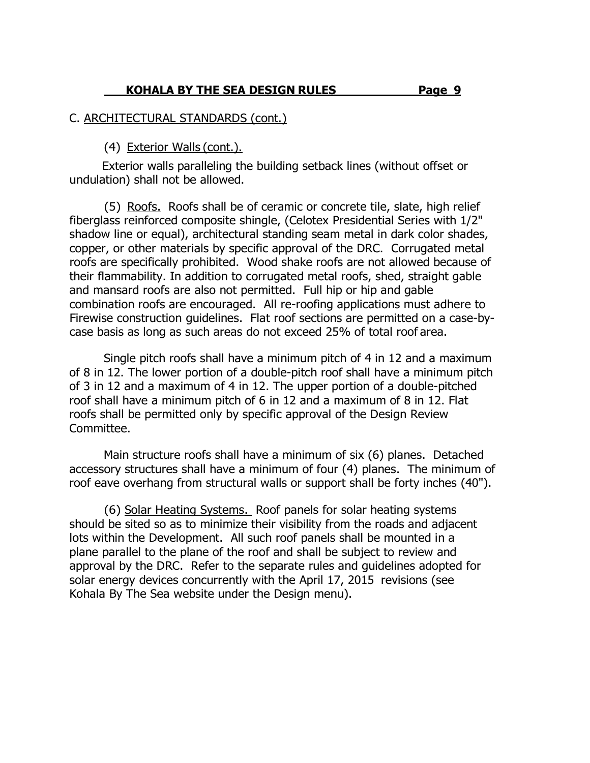#### C. ARCHITECTURAL STANDARDS (cont.)

(4) Exterior Walls (cont.).

 Exterior walls paralleling the building setback lines (without offset or undulation) shall not be allowed.

(5) Roofs. Roofs shall be of ceramic or concrete tile, slate, high relief fiberglass reinforced composite shingle, (Celotex Presidential Series with 1/2" shadow line or equal), architectural standing seam metal in dark color shades, copper, or other materials by specific approval of the DRC. Corrugated metal roofs are specifically prohibited. Wood shake roofs are not allowed because of their flammability. In addition to corrugated metal roofs, shed, straight gable and mansard roofs are also not permitted. Full hip or hip and gable combination roofs are encouraged. All re-roofing applications must adhere to Firewise construction guidelines. Flat roof sections are permitted on a case-bycase basis as long as such areas do not exceed 25% of total roof area.

Single pitch roofs shall have a minimum pitch of 4 in 12 and a maximum of 8 in 12. The lower portion of a double-pitch roof shall have a minimum pitch of 3 in 12 and a maximum of 4 in 12. The upper portion of a double-pitched roof shall have a minimum pitch of 6 in 12 and a maximum of 8 in 12. Flat roofs shall be permitted only by specific approval of the Design Review Committee.

Main structure roofs shall have a minimum of six (6) planes. Detached accessory structures shall have a minimum of four (4) planes. The minimum of roof eave overhang from structural walls or support shall be forty inches (40").

(6) Solar Heating Systems. Roof panels for solar heating systems should be sited so as to minimize their visibility from the roads and adjacent lots within the Development. All such roof panels shall be mounted in a plane parallel to the plane of the roof and shall be subject to review and approval by the DRC. Refer to the separate rules and guidelines adopted for solar energy devices concurrently with the April 17, 2015 revisions (see Kohala By The Sea website under the Design menu).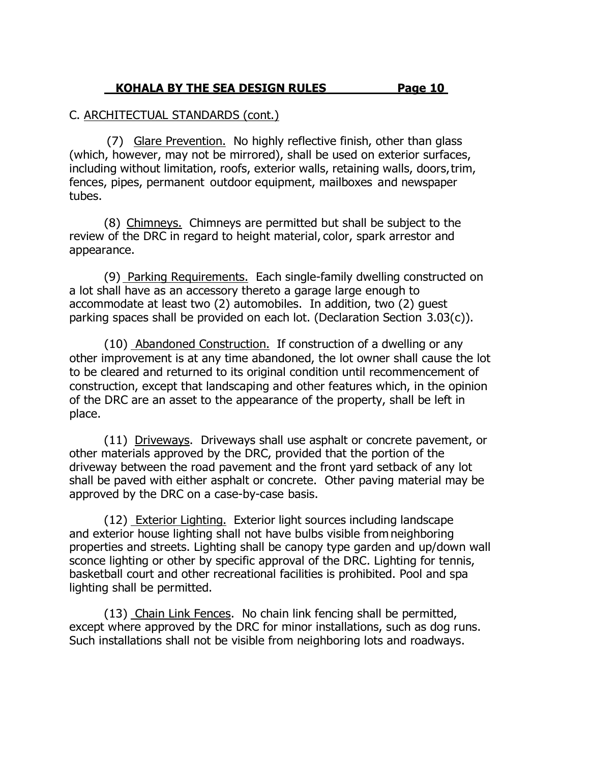#### C. ARCHITECTUAL STANDARDS (cont.)

(7) Glare Prevention. No highly reflective finish, other than glass (which, however, may not be mirrored), shall be used on exterior surfaces, including without limitation, roofs, exterior walls, retaining walls, doors, trim, fences, pipes, permanent outdoor equipment, mailboxes and newspaper tubes.

(8) Chimneys. Chimneys are permitted but shall be subject to the review of the DRC in regard to height material, color, spark arrestor and appearance.

(9) Parking Requirements. Each single-family dwelling constructed on a lot shall have as an accessory thereto a garage large enough to accommodate at least two (2) automobiles. In addition, two (2) guest parking spaces shall be provided on each lot. (Declaration Section 3.03(c)).

(10) Abandoned Construction. If construction of a dwelling or any other improvement is at any time abandoned, the lot owner shall cause the lot to be cleared and returned to its original condition until recommencement of construction, except that landscaping and other features which, in the opinion of the DRC are an asset to the appearance of the property, shall be left in place.

(11) Driveways. Driveways shall use asphalt or concrete pavement, or other materials approved by the DRC, provided that the portion of the driveway between the road pavement and the front yard setback of any lot shall be paved with either asphalt or concrete. Other paving material may be approved by the DRC on a case-by-case basis.

(12) Exterior Lighting. Exterior light sources including landscape and exterior house lighting shall not have bulbs visible from neighboring properties and streets. Lighting shall be canopy type garden and up/down wall sconce lighting or other by specific approval of the DRC. Lighting for tennis, basketball court and other recreational facilities is prohibited. Pool and spa lighting shall be permitted.

(13) Chain Link Fences. No chain link fencing shall be permitted, except where approved by the DRC for minor installations, such as dog runs. Such installations shall not be visible from neighboring lots and roadways.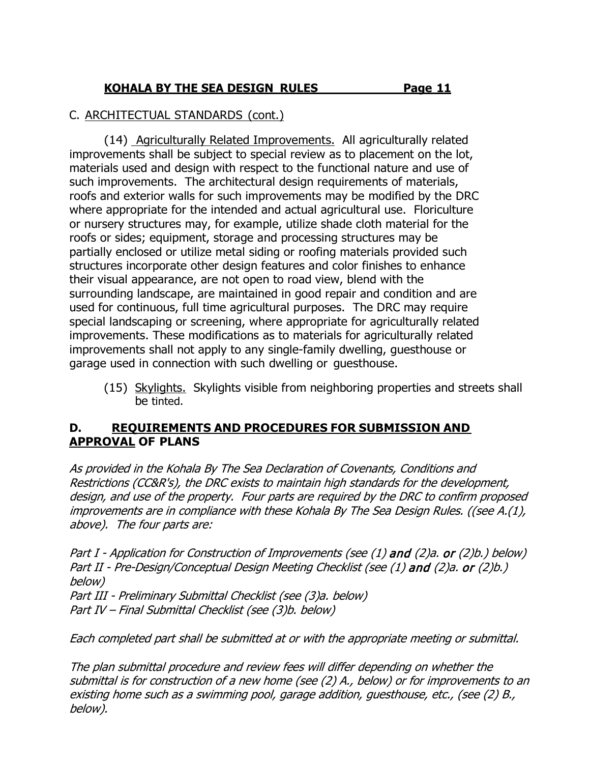## C. ARCHITECTUAL STANDARDS (cont.)

(14) Agriculturally Related Improvements. All agriculturally related improvements shall be subject to special review as to placement on the lot, materials used and design with respect to the functional nature and use of such improvements. The architectural design requirements of materials, roofs and exterior walls for such improvements may be modified by the DRC where appropriate for the intended and actual agricultural use. Floriculture or nursery structures may, for example, utilize shade cloth material for the roofs or sides; equipment, storage and processing structures may be partially enclosed or utilize metal siding or roofing materials provided such structures incorporate other design features and color finishes to enhance their visual appearance, are not open to road view, blend with the surrounding landscape, are maintained in good repair and condition and are used for continuous, full time agricultural purposes. The DRC may require special landscaping or screening, where appropriate for agriculturally related improvements. These modifications as to materials for agriculturally related improvements shall not apply to any single-family dwelling, guesthouse or garage used in connection with such dwelling or guesthouse.

(15) Skylights. Skylights visible from neighboring properties and streets shall be tinted.

## **D. REQUIREMENTS AND PROCEDURES FOR SUBMISSION AND APPROVAL OF PLANS**

As provided in the Kohala By The Sea Declaration of Covenants, Conditions and Restrictions (CC&R's), the DRC exists to maintain high standards for the development, design, and use of the property. Four parts are required by the DRC to confirm proposed improvements are in compliance with these Kohala By The Sea Design Rules. ((see A.(1), above). The four parts are:

Part I - Application for Construction of Improvements (see (1) and (2)a. or (2)b.) below) Part II - Pre-Design/Conceptual Design Meeting Checklist (see (1) and (2)a. or (2)b.) below) Part III - Preliminary Submittal Checklist (see (3)a. below)

Part IV – Final Submittal Checklist (see (3)b. below)

Each completed part shall be submitted at or with the appropriate meeting or submittal.

The plan submittal procedure and review fees will differ depending on whether the submittal is for construction of a new home (see (2) A., below) or for improvements to an existing home such as a swimming pool, garage addition, guesthouse, etc., (see (2) B., below).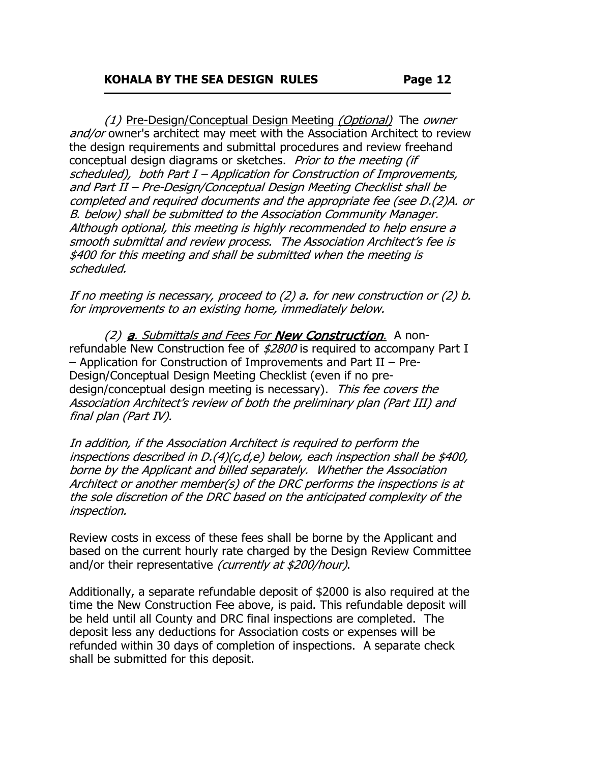(1) Pre-Design/Conceptual Design Meeting (Optional) The owner and/or owner's architect may meet with the Association Architect to review the design requirements and submittal procedures and review freehand conceptual design diagrams or sketches. Prior to the meeting (if scheduled), both Part I – Application for Construction of Improvements, and Part II – Pre-Design/Conceptual Design Meeting Checklist shall be completed and required documents and the appropriate fee (see D.(2)A. or B. below) shall be submitted to the Association Community Manager. Although optional, this meeting is highly recommended to help ensure a smooth submittal and review process. The Association Architect's fee is \$400 for this meeting and shall be submitted when the meeting is scheduled.

If no meeting is necessary, proceed to (2) a. for new construction or (2) b. for improvements to an existing home, immediately below.

(2) a. Submittals and Fees For New Construction. A nonrefundable New Construction fee of  $$2800$  is required to accompany Part I – Application for Construction of Improvements and Part II – Pre-Design/Conceptual Design Meeting Checklist (even if no predesign/conceptual design meeting is necessary). This fee covers the Association Architect's review of both the preliminary plan (Part III) and final plan (Part IV).

In addition, if the Association Architect is required to perform the inspections described in D.(4)(c,d,e) below, each inspection shall be \$400, borne by the Applicant and billed separately. Whether the Association Architect or another member(s) of the DRC performs the inspections is at the sole discretion of the DRC based on the anticipated complexity of the inspection.

Review costs in excess of these fees shall be borne by the Applicant and based on the current hourly rate charged by the Design Review Committee and/or their representative *(currently at \$200/hour)*.

Additionally, a separate refundable deposit of \$2000 is also required at the time the New Construction Fee above, is paid. This refundable deposit will be held until all County and DRC final inspections are completed. The deposit less any deductions for Association costs or expenses will be refunded within 30 days of completion of inspections. A separate check shall be submitted for this deposit.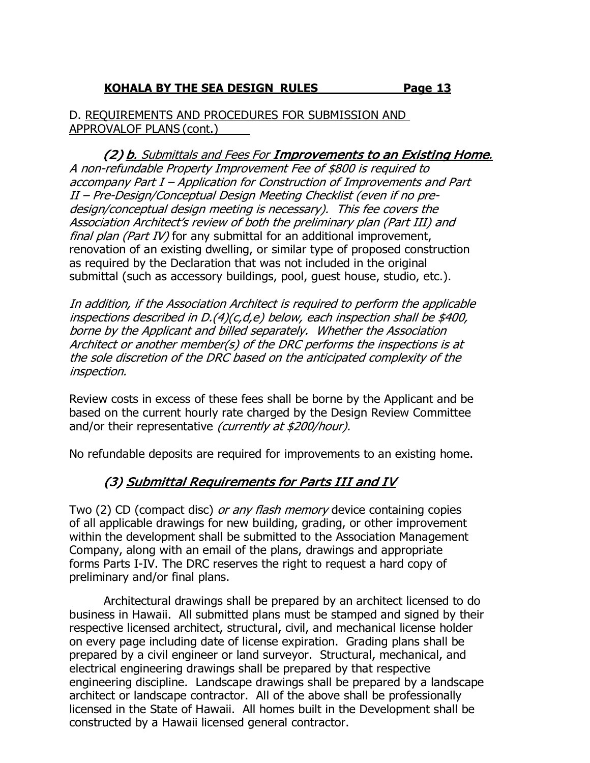#### D. REQUIREMENTS AND PROCEDURES FOR SUBMISSION AND APPROVALOF PLANS (cont.)

(2) b. Submittals and Fees For Improvements to an Existing Home. A non-refundable Property Improvement Fee of \$800 is required to accompany Part I – Application for Construction of Improvements and Part II – Pre-Design/Conceptual Design Meeting Checklist (even if no predesign/conceptual design meeting is necessary). This fee covers the Association Architect's review of both the preliminary plan (Part III) and final plan (Part IV) for any submittal for an additional improvement, renovation of an existing dwelling, or similar type of proposed construction as required by the Declaration that was not included in the original submittal (such as accessory buildings, pool, guest house, studio, etc.).

In addition, if the Association Architect is required to perform the applicable inspections described in D.(4)(c,d,e) below, each inspection shall be \$400, borne by the Applicant and billed separately. Whether the Association Architect or another member(s) of the DRC performs the inspections is at the sole discretion of the DRC based on the anticipated complexity of the inspection.

Review costs in excess of these fees shall be borne by the Applicant and be based on the current hourly rate charged by the Design Review Committee and/or their representative *(currently at \$200/hour).* 

No refundable deposits are required for improvements to an existing home.

## (3) Submittal Requirements for Parts III and IV

Two (2) CD (compact disc) or any flash memory device containing copies of all applicable drawings for new building, grading, or other improvement within the development shall be submitted to the Association Management Company, along with an email of the plans, drawings and appropriate forms Parts I-IV. The DRC reserves the right to request a hard copy of preliminary and/or final plans.

Architectural drawings shall be prepared by an architect licensed to do business in Hawaii. All submitted plans must be stamped and signed by their respective licensed architect, structural, civil, and mechanical license holder on every page including date of license expiration. Grading plans shall be prepared by a civil engineer or land surveyor. Structural, mechanical, and electrical engineering drawings shall be prepared by that respective engineering discipline. Landscape drawings shall be prepared by a landscape architect or landscape contractor. All of the above shall be professionally licensed in the State of Hawaii. All homes built in the Development shall be constructed by a Hawaii licensed general contractor.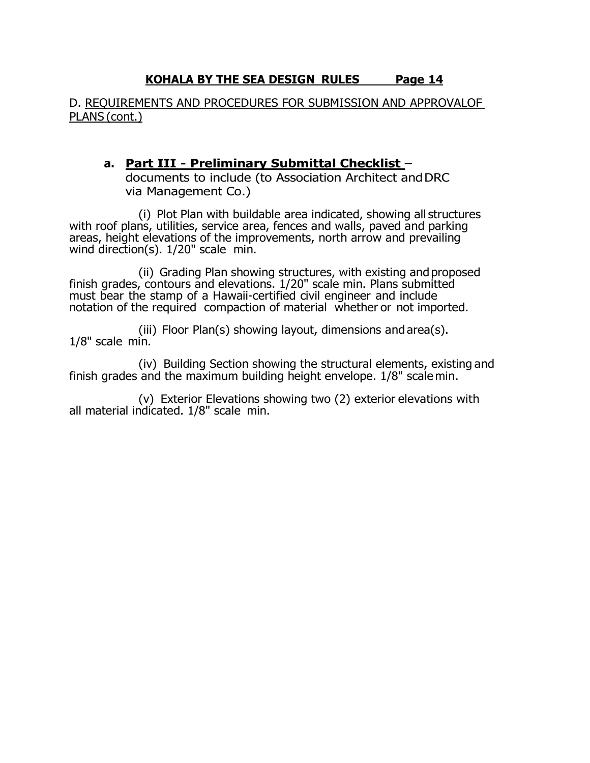#### D. REQUIREMENTS AND PROCEDURES FOR SUBMISSION AND APPROVALOF PLANS (cont.)

### **a. Part III - Preliminary Submittal Checklist** –

documents to include (to Association Architect andDRC via Management Co.)

(i) Plot Plan with buildable area indicated, showing all structures with roof plans, utilities, service area, fences and walls, paved and parking areas, height elevations of the improvements, north arrow and prevailing wind direction(s). 1/20" scale min.

(ii) Grading Plan showing structures, with existing and proposed finish grades, contours and elevations. 1/20" scale min. Plans submitted must bear the stamp of a Hawaii-certified civil engineer and include notation of the required compaction of material whether or not imported.

(iii) Floor Plan(s) showing layout, dimensions and area(s). 1/8" scale min.

(iv) Building Section showing the structural elements, existing and finish grades and the maximum building height envelope. 1/8" scale min.

(v) Exterior Elevations showing two (2) exterior elevations with all material indicated. 1/8" scale min.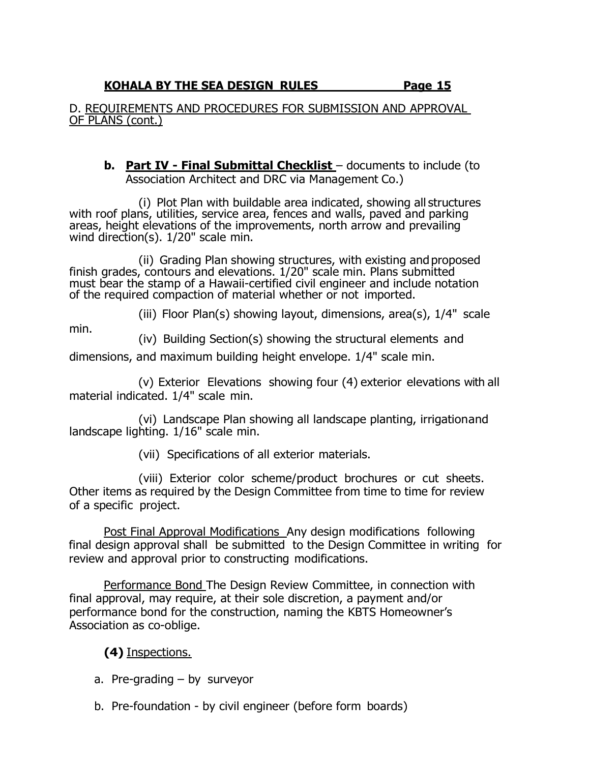#### D. REQUIREMENTS AND PROCEDURES FOR SUBMISSION AND APPROVAL OF PLANS (cont.)

**b. Part IV - Final Submittal Checklist** – documents to include (to Association Architect and DRC via Management Co.)

(i) Plot Plan with buildable area indicated, showing all structures with roof plans, utilities, service area, fences and walls, paved and parking areas, height elevations of the improvements, north arrow and prevailing wind direction(s). 1/20" scale min.

(ii) Grading Plan showing structures, with existing and proposed finish grades, contours and elevations. 1/20" scale min. Plans submitted must bear the stamp of a Hawaii-certified civil engineer and include notation of the required compaction of material whether or not imported.

(iii) Floor Plan(s) showing layout, dimensions, area(s), 1/4" scale

min.

(iv) Building Section(s) showing the structural elements and dimensions, and maximum building height envelope. 1/4" scale min.

(v) Exterior Elevations showing four (4) exterior elevations with all material indicated. 1/4" scale min.

(vi) Landscape Plan showing all landscape planting, irrigationand landscape lighting. 1/16" scale min.

(vii) Specifications of all exterior materials.

(viii) Exterior color scheme/product brochures or cut sheets. Other items as required by the Design Committee from time to time for review of a specific project.

Post Final Approval Modifications Any design modifications following final design approval shall be submitted to the Design Committee in writing for review and approval prior to constructing modifications.

Performance Bond The Design Review Committee, in connection with final approval, may require, at their sole discretion, a payment and/or performance bond for the construction, naming the KBTS Homeowner's Association as co-oblige.

**(4)** Inspections.

- a. Pre-grading by surveyor
- b. Pre-foundation by civil engineer (before form boards)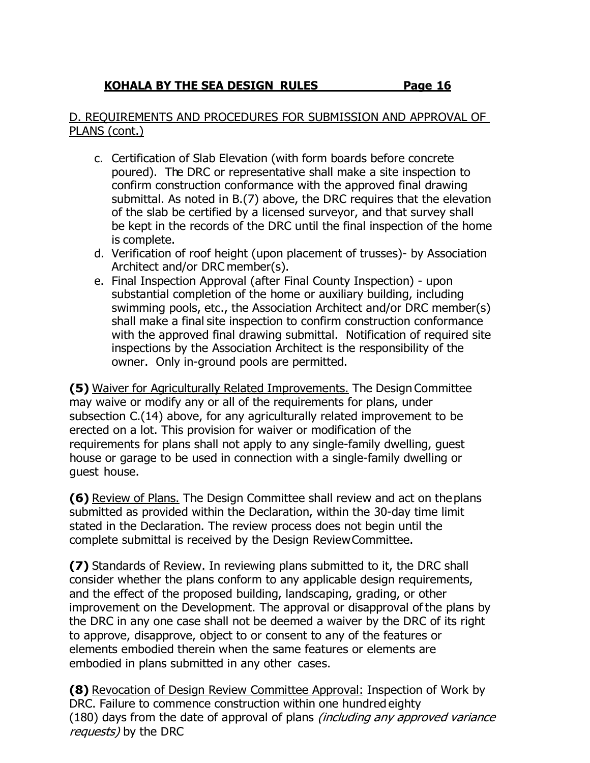#### D. REQUIREMENTS AND PROCEDURES FOR SUBMISSION AND APPROVAL OF PLANS (cont.)

- c. Certification of Slab Elevation (with form boards before concrete poured). The DRC or representative shall make a site inspection to confirm construction conformance with the approved final drawing submittal. As noted in B.(7) above, the DRC requires that the elevation of the slab be certified by a licensed surveyor, and that survey shall be kept in the records of the DRC until the final inspection of the home is complete.
- d. Verification of roof height (upon placement of trusses)- by Association Architect and/or DRC member(s).
- e. Final Inspection Approval (after Final County Inspection) upon substantial completion of the home or auxiliary building, including swimming pools, etc., the Association Architect and/or DRC member(s) shall make a final site inspection to confirm construction conformance with the approved final drawing submittal. Notification of required site inspections by the Association Architect is the responsibility of the owner. Only in-ground pools are permitted.

**(5)** Waiver for Agriculturally Related Improvements. The Design Committee may waive or modify any or all of the requirements for plans, under subsection C.(14) above, for any agriculturally related improvement to be erected on a lot. This provision for waiver or modification of the requirements for plans shall not apply to any single-family dwelling, guest house or garage to be used in connection with a single-family dwelling or guest house.

**(6)** Review of Plans. The Design Committee shall review and act on theplans submitted as provided within the Declaration, within the 30-day time limit stated in the Declaration. The review process does not begin until the complete submittal is received by the Design ReviewCommittee.

**(7)** Standards of Review. In reviewing plans submitted to it, the DRC shall consider whether the plans conform to any applicable design requirements, and the effect of the proposed building, landscaping, grading, or other improvement on the Development. The approval or disapproval ofthe plans by the DRC in any one case shall not be deemed a waiver by the DRC of its right to approve, disapprove, object to or consent to any of the features or elements embodied therein when the same features or elements are embodied in plans submitted in any other cases.

**(8)** Revocation of Design Review Committee Approval: Inspection of Work by DRC. Failure to commence construction within one hundred eighty (180) days from the date of approval of plans *(including any approved variance* requests) by the DRC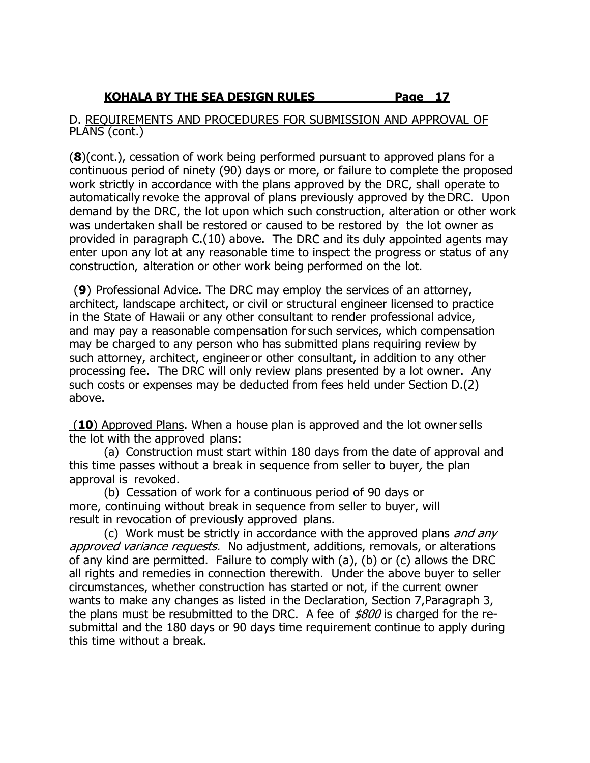#### D. REQUIREMENTS AND PROCEDURES FOR SUBMISSION AND APPROVAL OF PLANS (cont.)

(**8**)(cont.), cessation of work being performed pursuant to approved plans for a continuous period of ninety (90) days or more, or failure to complete the proposed work strictly in accordance with the plans approved by the DRC, shall operate to automatically revoke the approval of plans previously approved by the DRC. Upon demand by the DRC, the lot upon which such construction, alteration or other work was undertaken shall be restored or caused to be restored by the lot owner as provided in paragraph C.(10) above. The DRC and its duly appointed agents may enter upon any lot at any reasonable time to inspect the progress or status of any construction, alteration or other work being performed on the lot.

(**9**) Professional Advice. The DRC may employ the services of an attorney, architect, landscape architect, or civil or structural engineer licensed to practice in the State of Hawaii or any other consultant to render professional advice, and may pay a reasonable compensation for such services, which compensation may be charged to any person who has submitted plans requiring review by such attorney, architect, engineer or other consultant, in addition to any other processing fee. The DRC will only review plans presented by a lot owner. Any such costs or expenses may be deducted from fees held under Section D.(2) above.

(**10**) Approved Plans. When a house plan is approved and the lot owner sells the lot with the approved plans:

(a) Construction must start within 180 days from the date of approval and this time passes without a break in sequence from seller to buyer, the plan approval is revoked.

(b) Cessation of work for a continuous period of 90 days or more, continuing without break in sequence from seller to buyer, will result in revocation of previously approved plans.

(c) Work must be strictly in accordance with the approved plans *and any* approved variance requests. No adjustment, additions, removals, or alterations of any kind are permitted. Failure to comply with (a), (b) or (c) allows the DRC all rights and remedies in connection therewith. Under the above buyer to seller circumstances, whether construction has started or not, if the current owner wants to make any changes as listed in the Declaration, Section 7,Paragraph 3, the plans must be resubmitted to the DRC. A fee of  $$800$  is charged for the resubmittal and the 180 days or 90 days time requirement continue to apply during this time without a break.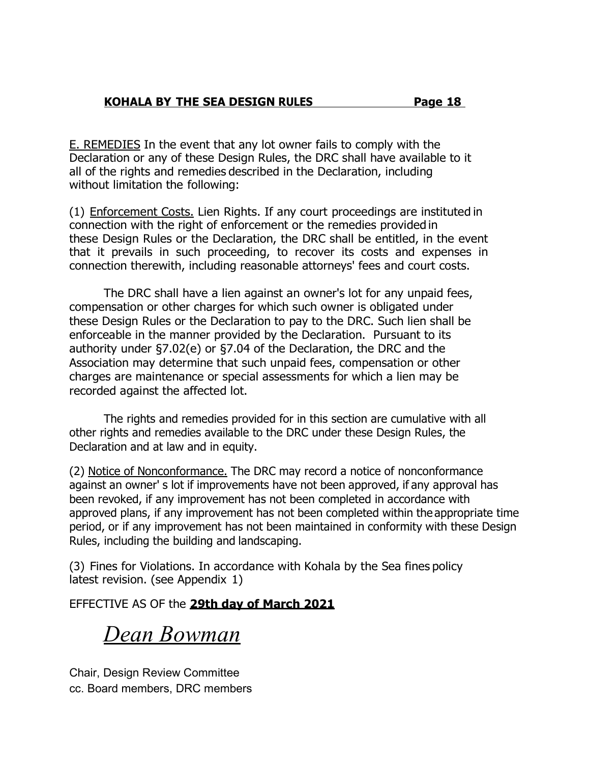E. REMEDIES In the event that any lot owner fails to comply with the Declaration or any of these Design Rules, the DRC shall have available to it all of the rights and remedies described in the Declaration, including without limitation the following:

(1) Enforcement Costs. Lien Rights. If any court proceedings are instituted in connection with the right of enforcement or the remedies provided in these Design Rules or the Declaration, the DRC shall be entitled, in the event that it prevails in such proceeding, to recover its costs and expenses in connection therewith, including reasonable attorneys' fees and court costs.

The DRC shall have a lien against an owner's lot for any unpaid fees, compensation or other charges for which such owner is obligated under these Design Rules or the Declaration to pay to the DRC. Such lien shall be enforceable in the manner provided by the Declaration. Pursuant to its authority under §7.02(e) or §7.04 of the Declaration, the DRC and the Association may determine that such unpaid fees, compensation or other charges are maintenance or special assessments for which a lien may be recorded against the affected lot.

The rights and remedies provided for in this section are cumulative with all other rights and remedies available to the DRC under these Design Rules, the Declaration and at law and in equity.

(2) Notice of Nonconformance. The DRC may record a notice of nonconformance against an owner' s lot if improvements have not been approved, if any approval has been revoked, if any improvement has not been completed in accordance with approved plans, if any improvement has not been completed within the appropriate time period, or if any improvement has not been maintained in conformity with these Design Rules, including the building and landscaping.

(3) Fines for Violations. In accordance with Kohala by the Sea fines policy latest revision. (see Appendix 1)

EFFECTIVE AS OF the **29th day of March 2021**

*Dean Bowman*

Chair, Design Review Committee cc. Board members, DRC members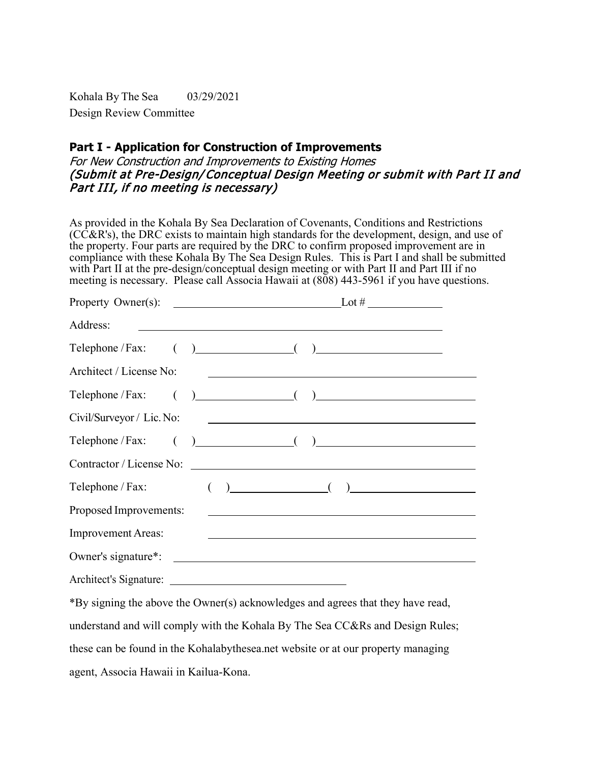Kohala By The Sea 03/29/2021 Design Review Committee

#### **Part I - Application for Construction of Improvements**

For New Construction and Improvements to Existing Homes (Submit at Pre-Design/Conceptual Design Meeting or submit with Part II and Part III, if no meeting is necessary)

As provided in the Kohala By Sea Declaration of Covenants, Conditions and Restrictions  $(CC&R's)$ , the DRC exists to maintain high standards for the development, design, and use of the property. Four parts are required by the DRC to confirm proposed improvement are in compliance with these Kohala By The Sea Design Rules. This is Part I and shall be submitted with Part II at the pre-design/conceptual design meeting or with Part II and Part III if no meeting is necessary. Please call Associa Hawaii at  $(808)$  443-5961 if you have questions.

|                           | Property Owner(s): $\qquad \qquad$ Lot #                                                                                                                                                                                                                        |
|---------------------------|-----------------------------------------------------------------------------------------------------------------------------------------------------------------------------------------------------------------------------------------------------------------|
| Address:                  | <u> 1989 - Johann Stoff, deutscher Stoffen und der Stoffen und der Stoffen und der Stoffen und der Stoffen und der</u>                                                                                                                                          |
|                           | Telephone / Fax: $( )$ (2002)                                                                                                                                                                                                                                   |
| Architect / License No:   | <u> 1980 - Andrea Andrew Maria (h. 1980).</u><br>1901 - Andrew Maria (h. 1902).                                                                                                                                                                                 |
|                           | Telephone / Fax: $( )$ ( $ )$ ( $ )$ ( $ )$ ( $ )$ ( $ )$ ( $ )$ ( $ )$ ( $ )$ ( $ )$ ( $ )$ ( $ )$ ( $ )$ ( $ )$ ( $ )$ ( $ )$ ( $ )$ ( $ )$ ( $ )$ ( $ )$ ( $ )$ ( $ )$ ( $ )$ ( $ )$ ( $ )$ ( $ )$ ( $ )$ ( $ )$ ( $ )$ ( $ )$ ( $ )$ ( $ )$ ( $ )$ ( $ )$ ( |
| Civil/Surveyor / Lic. No: |                                                                                                                                                                                                                                                                 |
|                           |                                                                                                                                                                                                                                                                 |
|                           |                                                                                                                                                                                                                                                                 |
|                           | Telephone / Fax: $( )$ (2002)                                                                                                                                                                                                                                   |
| Proposed Improvements:    | <u> Alexandria de la contrada de la contrada de la contrada de la contrada de la contrada de la contrada de la c</u>                                                                                                                                            |
| <b>Improvement Areas:</b> | <u>and the contract of the contract of the contract of the contract of the contract of the contract of the contract of</u>                                                                                                                                      |
|                           |                                                                                                                                                                                                                                                                 |
|                           |                                                                                                                                                                                                                                                                 |

\*By signing the above the Owner(s) acknowledges and agrees that they have read, understand and will comply with the Kohala By The Sea CC&Rs and Design Rules; these can be found in the Kohalabythesea.net website or at our property managing agent, Associa Hawaii in Kailua-Kona.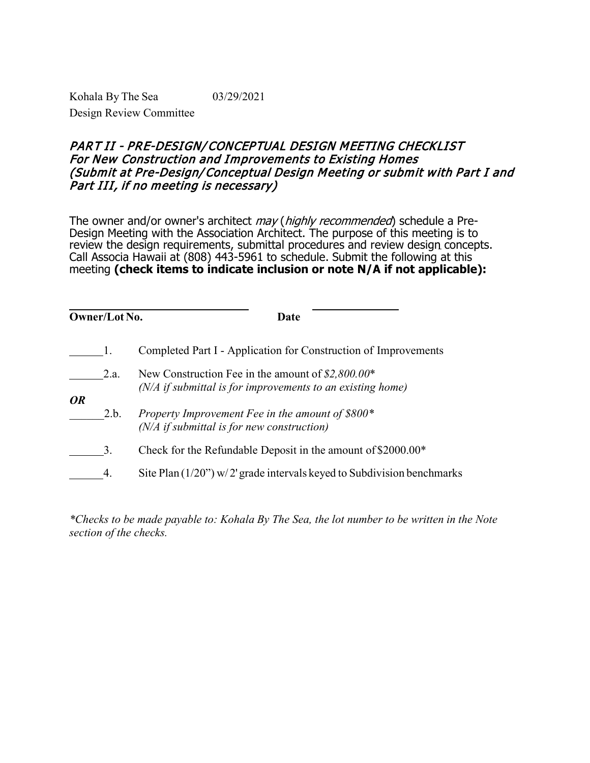Kohala By The Sea  $03/29/2021$ Design Review Committee

#### PART II - PRE-DESIGN/ CONCEPTUAL DESIGN MEETING CHECKLIST For New Construction and Improvements to Existing Homes (Submit at Pre-Design/Conceptual Design Meeting or submit with Part I and Part III, if no meeting is necessary)

The owner and/or owner's architect may (highly recommended) schedule a Pre-Design Meeting with the Association Architect. The purpose of this meeting is to review the design requirements, submittal procedures and review design concepts. Call Associa Hawaii at (808) 443-5961 to schedule. Submit the following at this meeting **(check items to indicate inclusion or note N/A if not applicable):**

| Owner/Lot No. |      | Date                                                                                                                |
|---------------|------|---------------------------------------------------------------------------------------------------------------------|
|               |      | Completed Part I - Application for Construction of Improvements                                                     |
|               | 2.a. | New Construction Fee in the amount of $$2,800.00*$<br>$(N/A)$ if submittal is for improvements to an existing home) |
| <i>OR</i>     | 2.b. | Property Improvement Fee in the amount of $$800*$<br>$(N/A)$ if submittal is for new construction)                  |
|               | 3.   | Check for the Refundable Deposit in the amount of \$2000.00*                                                        |
|               | 4.   | Site Plan $(1/20)$ " w/2' grade intervals keyed to Subdivision benchmarks                                           |

*\*Checks to be made payable to: Kohala By The Sea, the lot number to be written in the Note section of the checks.*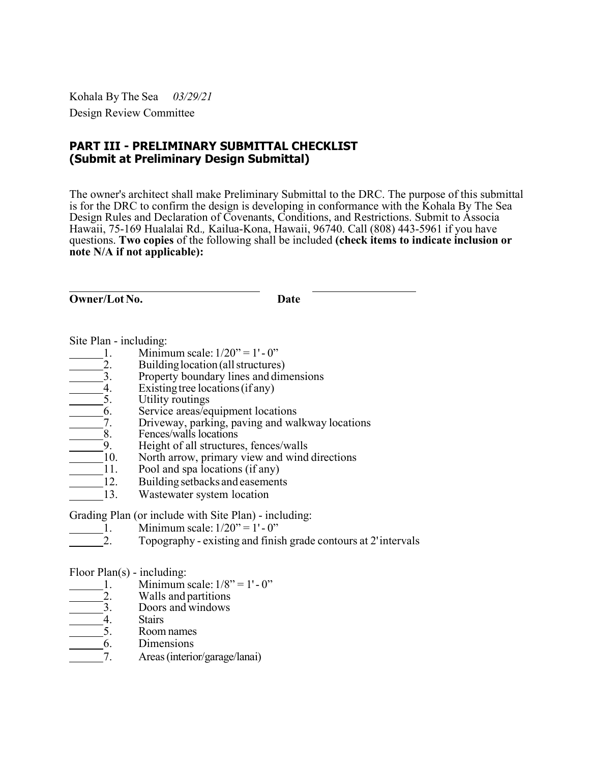Kohala By The Sea *03/29/21* Design Review Committee

#### **PART III - PRELIMINARY SUBMITTAL CHECKLIST (Submit at Preliminary Design Submittal)**

The owner's architect shall make Preliminary Submittal to the DRC. The purpose of this submittal is for the DRC to confirm the design is developing in conformance with the Kohala By The Sea Design Rules and Declaration of Covenants, Conditions, and Restrictions. Submit to Associa Hawaii, 75-169 Hualalai Rd.*,* Kailua-Kona, Hawaii, 96740. Call (808) 443-5961 if you have questions. **Two copies** of the following shall be included **(check items to indicate inclusion or note N/A if not applicable):**

**Owner/Lot No. Date**

Site Plan - including:

- 1. Minimum scale:  $1/20" = 1'-0"$ <br>2. Building location (all structures
- 2. Building location (all structures)<br>3. Property boundary lines and dim
- $\overline{3}$ . Property boundary lines and dimensions<br>4. Existing tree locations (if any)
- $\frac{1}{2}$ . Existing tree locations (if any)<br>5. Utility routings
- 5. Utility routings<br>6. Service areas/eq
- $\overline{6}$ . Service areas/equipment locations<br>7. Driveway, parking, paving and wall
- 7. Driveway, parking, paving and walkway locations
- $\frac{8}{9}$ . Fences/walls locations
- 9. Height of all structures, fences/walls<br>10. North arrow, primary view and wind
- North arrow, primary view and wind directions
- 11. Pool and spa locations (if any)
- 12. Building setbacks and easements
- 13. Wastewater system location

Grading Plan (or include with Site Plan) - including:

- 1. Minimum scale:  $1/20" = 1'-0"$
- 2. Topography existing and finish grade contours at 2'intervals

Floor Plan(s) - including:

- $\begin{array}{ll}\n\text{1.} & \text{Minimum scale: } 1/8 = 1' 0'' \\
\text{2.} & \text{Walls and partitions}\n\end{array}$
- 2. Walls and partitions<br>3. Doors and windows
- 3. Doors and windows<br>4. Stairs
- 4. Stairs<br>5. Room
- 5. Room names
- 6. Dimensions
- 7. Areas(interior/garage/lanai)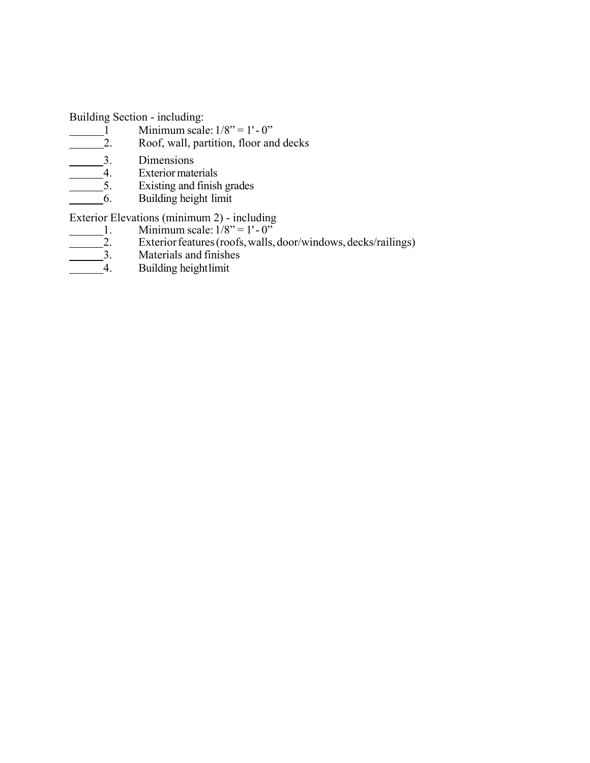Building Section - including:

- $\frac{1}{2}$  Minimum scale:  $1/8$ " = 1' 0"<br>2. Roof, wall, partition, floor an
- 2. Roof, wall, partition, floor and decks
- 
- 3. Dimensions<br>4. Exterior mate -4. Exterior materials<br>5. Existing and finish
- 5. Existing and finish grades
- 6. Building height limit

Exterior Elevations (minimum 2) - including

- 1. Minimum scale:  $1/8" = 1'-0"$
- 2. Exterior features (roofs, walls, door/windows, decks/railings)<br>3. Materials and finishes
- 3. Materials and finishes<br>4. Building height limit
- 4. Building heightlimit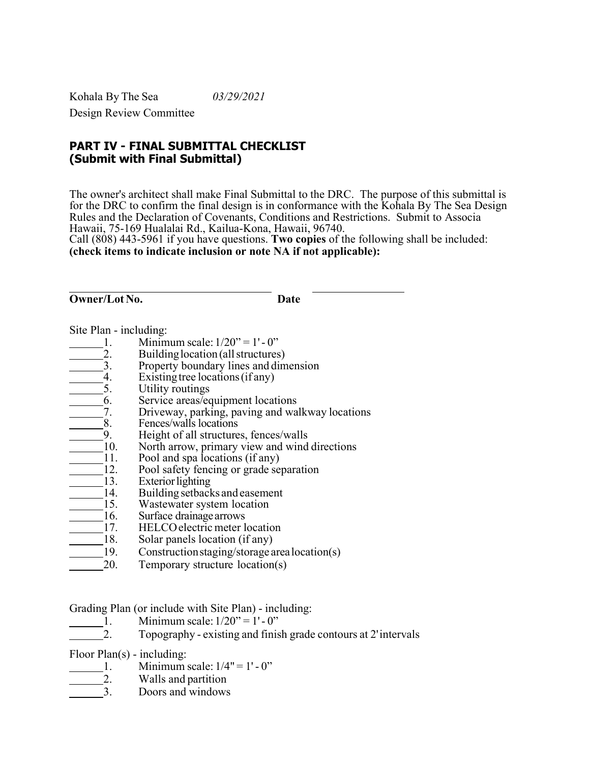Kohala By The Sea *03/29/2021*

Design Review Committee

## **PART IV - FINAL SUBMITTAL CHECKLIST (Submit with Final Submittal)**

The owner's architect shall make Final Submittal to the DRC. The purpose of this submittal is for the DRC to confirm the final design is in conformance with the Kohala By The Sea Design Rules and the Declaration of Covenants, Conditions and Restrictions. Submit to Associa Hawaii, 75-169 Hualalai Rd., Kailua-Kona, Hawaii, 96740.

Call (808) 443-5961 if you have questions. **Two copies** of the following shall be included: **(check items to indicate inclusion or note NA if not applicable):**

| Owner/Lot No.          | Date                                            |
|------------------------|-------------------------------------------------|
| Site Plan - including: |                                                 |
|                        | Minimum scale: $1/20$ " = 1' - 0"               |
|                        | Building location (all structures)              |
| $\frac{2}{3}$ .        | Property boundary lines and dimension           |
| $\frac{4}{5}$ .        | Existing tree locations (if any)                |
|                        | Utility routings                                |
| 6.<br>$\equiv$         | Service areas/equipment locations               |
| 7.                     | Driveway, parking, paving and walkway locations |
| 8.                     | Fences/walls locations                          |
| 9.                     | Height of all structures, fences/walls          |
| 10.                    | North arrow, primary view and wind directions   |
| 11.                    | Pool and spa locations (if any)                 |
| 12.                    | Pool safety fencing or grade separation         |
| 13.                    | <b>Exterior lighting</b>                        |
| 14.                    | Building setbacks and easement                  |
| 15.                    | Wastewater system location                      |
| 16.                    | Surface drainage arrows                         |
| 17.                    | HELCO electric meter location                   |
| 18.                    | Solar panels location (if any)                  |
| 19.                    | Construction staging/storage area location(s)   |
| 20.                    | Temporary structure location(s)                 |

Grading Plan (or include with Site Plan) - including:

- 1. Minimum scale:  $1/20" = 1'-0"$
- 2. Topography existing and finish grade contours at 2'intervals

Floor Plan(s) - including:

- 1. Minimum scale:  $1/4" = 1' 0"$ <br>2. Walls and partition
- Walls and partition
- 3. Doors and windows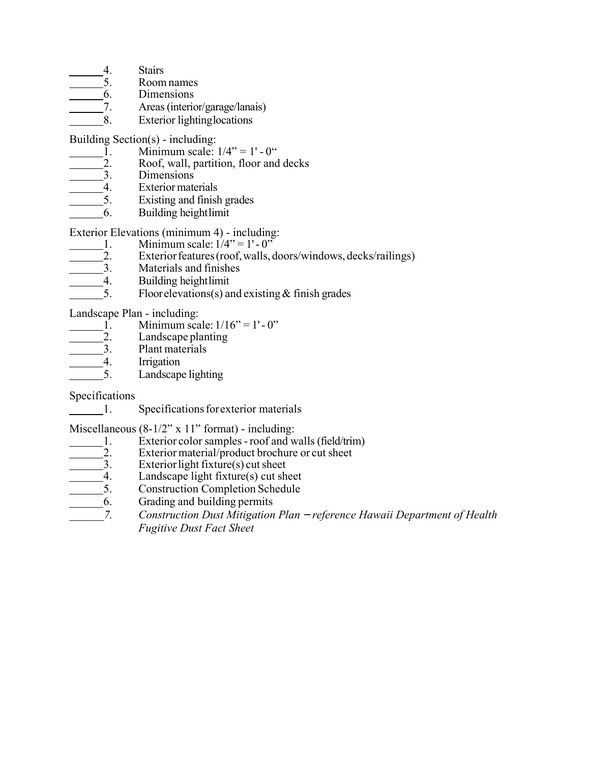- 4. Stairs<br>5. Room
- 5. Roomnames
- 6. Dimensions<br>7. Areas (interiory
- Areas (interior/garage/lanais)
- 8. Exterior lightinglocations

Building Section(s) - including:<br>1. Minimum scale:

- 1. Minimum scale:  $1/4$ " = 1' 0"<br>2. Roof, wall, partition, floor and
- $\begin{bmatrix} 2. & \text{Roof, wall, partition, floor and decks} \\ 3. & \text{Dimensions} \end{bmatrix}$
- 3. Dimensions<br>4. Exterior mate
- Exterior materials
- 5. Existing and finish grades
- 6. Building heightlimit

Exterior Elevations (minimum 4) - including:

- $1.$  Minimum scale:  $1/4$ " = 1' 0"<br>2. Exterior features (roof, walls, 0
- $\overline{2}$ . Exterior features (roof, walls, doors/windows, decks/railings)<br>3. Materials and finishes
- Materials and finishes
- 4. Building heightlimit
- 5. Floorelevations(s) and existing& finish grades

Landscape Plan - including:

- $\frac{1}{2}$ . Minimum scale:  $1/16$ " = 1' 0"<br>2. Landscape planting
- 2. Landscape planting<br>3. Plant materials
- Plant materials
- 4. Irrigation
- 5. Landscape lighting

Specifications

1. Specificationsforexterior materials

Miscellaneous  $(8-1/2" \times 11"$  format) - including:

- 1. Exterior color samples roof and walls (field/trim)<br>2. Exterior material/product brochure or cut sheet
- $\overline{\text{2}}$ . Exterior material/product brochure or cut sheet<br>3. Exterior light fixture(s) cut sheet
- $\overline{\hspace{1cm}}$ 3. Exterior light fixture(s) cut sheet<br>4. Landscape light fixture(s) cut she
- 4. Landscape light fixture(s) cut sheet<br>5. Construction Completion Schedule
- 5. Construction Completion Schedule
- 6. Grading and building permits<br>
7. Construction Dust Mitigation
	- \_\_\_\_\_\_*7. Construction Dust Mitigation Plan reference Hawaii Department of Health Fugitive Dust Fact Sheet*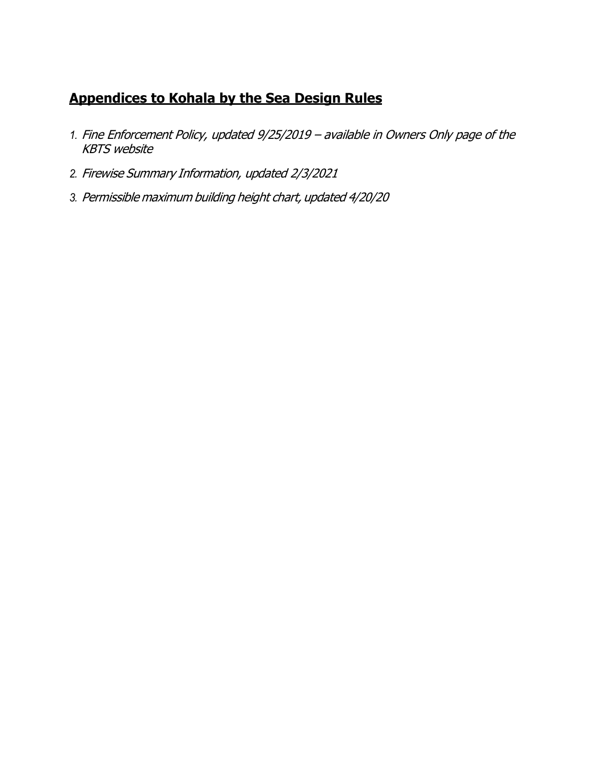# **Appendices to Kohala by the Sea Design Rules**

- *1.* Fine Enforcement Policy, updated 9/25/2019 available in Owners Only page of the KBTS website
- *2.* Firewise Summary Information, updated 2/3/2021
- *3.* Permissible maximum building height chart, updated 4/20/20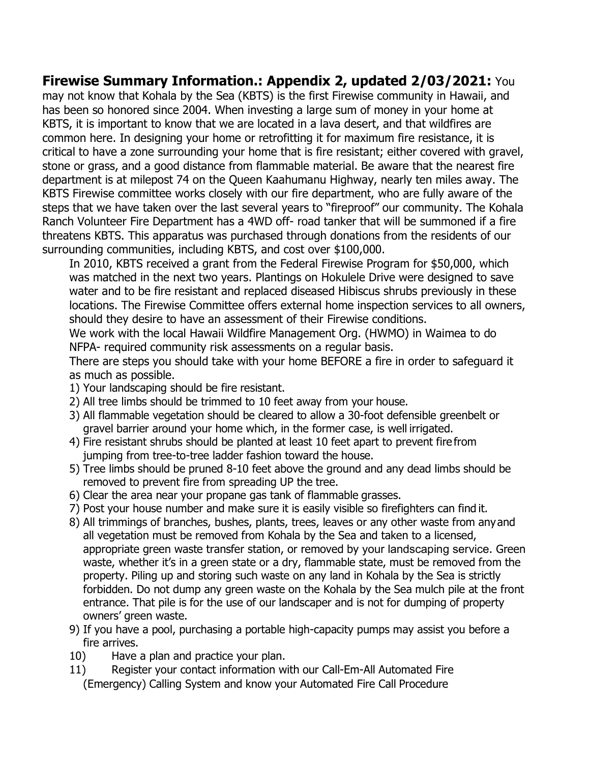# **Firewise Summary Information.: Appendix 2, updated 2/03/2021:** You

may not know that Kohala by the Sea (KBTS) is the first Firewise community in Hawaii, and has been so honored since 2004. When investing a large sum of money in your home at KBTS, it is important to know that we are located in a lava desert, and that wildfires are common here. In designing your home or retrofitting it for maximum fire resistance, it is critical to have a zone surrounding your home that is fire resistant; either covered with gravel, stone or grass, and a good distance from flammable material. Be aware that the nearest fire department is at milepost 74 on the Queen Kaahumanu Highway, nearly ten miles away. The KBTS Firewise committee works closely with our fire department, who are fully aware of the steps that we have taken over the last several years to "fireproof" our community. The Kohala Ranch Volunteer Fire Department has a 4WD off- road tanker that will be summoned if a fire threatens KBTS. This apparatus was purchased through donations from the residents of our surrounding communities, including KBTS, and cost over \$100,000.

In 2010, KBTS received a grant from the Federal Firewise Program for \$50,000, which was matched in the next two years. Plantings on Hokulele Drive were designed to save water and to be fire resistant and replaced diseased Hibiscus shrubs previously in these locations. The Firewise Committee offers external home inspection services to all owners, should they desire to have an assessment of their Firewise conditions.

We work with the local Hawaii Wildfire Management Org. (HWMO) in Waimea to do NFPA- required community risk assessments on a regular basis.

There are steps you should take with your home BEFORE a fire in order to safeguard it as much as possible.

- 1) Your landscaping should be fire resistant.
- 2) All tree limbs should be trimmed to 10 feet away from your house.
- 3) All flammable vegetation should be cleared to allow a 30-foot defensible greenbelt or gravel barrier around your home which, in the former case, is well irrigated.
- 4) Fire resistant shrubs should be planted at least 10 feet apart to prevent fire from jumping from tree-to-tree ladder fashion toward the house.
- 5) Tree limbs should be pruned 8-10 feet above the ground and any dead limbs should be removed to prevent fire from spreading UP the tree.
- 6) Clear the area near your propane gas tank of flammable grasses.
- 7) Post your house number and make sure it is easily visible so firefighters can find it.
- 8) All trimmings of branches, bushes, plants, trees, leaves or any other waste from anyand all vegetation must be removed from Kohala by the Sea and taken to a licensed, appropriate green waste transfer station, or removed by your landscaping service. Green waste, whether it's in a green state or a dry, flammable state, must be removed from the property. Piling up and storing such waste on any land in Kohala by the Sea is strictly forbidden. Do not dump any green waste on the Kohala by the Sea mulch pile at the front entrance. That pile is for the use of our landscaper and is not for dumping of property owners' green waste.
- 9) If you have a pool, purchasing a portable high-capacity pumps may assist you before a fire arrives.
- 10) Have a plan and practice your plan.
- 11) Register your contact information with our Call-Em-All Automated Fire (Emergency) Calling System and know your Automated Fire Call Procedure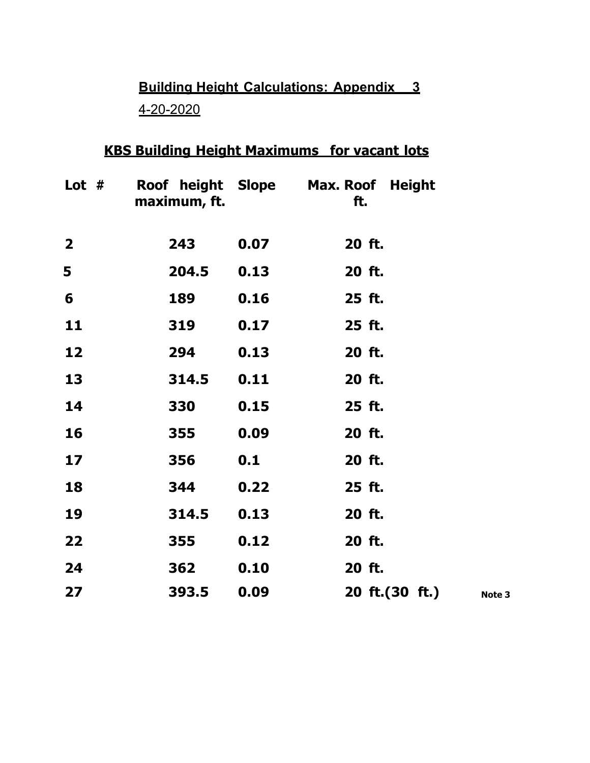# **Building Height Calculations: Appendix 3** 4-20-2020

# **KBS Building Height Maximums for vacant lots**

| Lot $#$        | Roof height Slope<br>maximum, ft. |      | <b>Max. Roof Height</b><br>ft. |  |
|----------------|-----------------------------------|------|--------------------------------|--|
| $\overline{2}$ | 243                               | 0.07 | 20 ft.                         |  |
| 5              | 204.5                             | 0.13 | 20 ft.                         |  |
| 6              | 189                               | 0.16 | 25 ft.                         |  |
| 11             | 319                               | 0.17 | 25 ft.                         |  |
| 12             | 294                               | 0.13 | 20 ft.                         |  |
| 13             | 314.5                             | 0.11 | 20 ft.                         |  |
| 14             | 330                               | 0.15 | 25 ft.                         |  |
| 16             | 355                               | 0.09 | 20 ft.                         |  |
| 17             | 356                               | 0.1  | 20 ft.                         |  |
| 18             | 344                               | 0.22 | 25 ft.                         |  |
| 19             | 314.5                             | 0.13 | 20 ft.                         |  |
| 22             | 355                               | 0.12 | 20 ft.                         |  |
| 24             | 362                               | 0.10 | 20 ft.                         |  |
| 27             | 393.5                             | 0.09 | 20 ft.(30 ft.)<br>Note 3       |  |